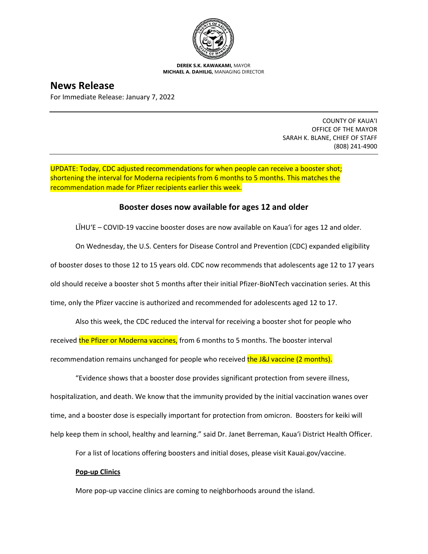

**DEREK S.K. KAWAKAMI,** MAYOR **MICHAEL A. DAHILIG,** MANAGING DIRECTOR

**News Release** For Immediate Release: January 7, 2022

> COUNTY OF KAUA'I OFFICE OF THE MAYOR SARAH K. BLANE, CHIEF OF STAFF (808) 241-4900

UPDATE: Today, CDC adjusted recommendations for when people can receive a booster shot; shortening the interval for Moderna recipients from 6 months to 5 months. This matches the recommendation made for Pfizer recipients earlier this week.

## **Booster doses now available for ages 12 and older**

LĪHUʻE – COVID-19 vaccine booster doses are now available on Kaua'i for ages 12 and older.

On Wednesday, the U.S. Centers for Disease Control and Prevention (CDC) expanded eligibility

of booster doses to those 12 to 15 years old. CDC now recommends that adolescents age 12 to 17 years

old should receive a booster shot 5 months after their initial Pfizer-BioNTech vaccination series. At this

time, only the Pfizer vaccine is authorized and recommended for adolescents aged 12 to 17.

Also this week, the CDC reduced the interval for receiving a booster shot for people who

received the Pfizer or Moderna vaccines, from 6 months to 5 months. The booster interval

recommendation remains unchanged for people who received the J&J vaccine (2 months).

"Evidence shows that a booster dose provides significant protection from severe illness, hospitalization, and death. We know that the immunity provided by the initial vaccination wanes over time, and a booster dose is especially important for protection from omicron. Boosters for keiki will help keep them in school, healthy and learning." said Dr. Janet Berreman, Kaua'i District Health Officer.

For a list of locations offering boosters and initial doses, please visit Kauai.gov/vaccine.

## **Pop-up Clinics**

More pop-up vaccine clinics are coming to neighborhoods around the island.